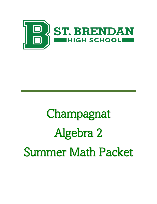

# Champagnat Algebra 2 Summer Math Packet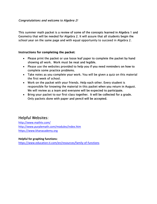This summer math packet is a review of some of the concepts learned in Algebra 1 and Geometry that will be needed for Algebra 2. It will assure that all students begin the school year on the same page and with equal opportunity to succeed in Algebra 2.

#### Instructions for completing the packet:

- Please print the packet or use loose leaf paper to complete the packet by hand showing all work. Work must be neat and legible.
- Please use the websites provided to help you if you need reminders on how to complete some practice problems.
- Take notes as you complete your work. You will be given a quiz on this material the first week of school.
- Work on the packet with your friends. Help each other. Every student is responsible for knowing the material in this packet when you return in August. We will review as a team and everyone will be expected to participate.
- Bring your packet to our first class together. It will be collected for a grade. Only packets done with paper and pencil will be accepted.

# Helpful Websites:

[http://www.mathtv.com/](https://mathtv.com/) <http://www.purplemath.com/modules/index.htm> [https://www.khanacademy.org](https://www.khanacademy.org/)

#### **Helpful for graphing functions:**

<https://www.education.ti.com/en/resources/family-of-functions>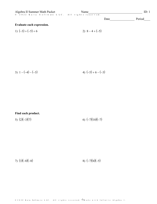| Algebra II Summer Math Packet                  | Name |      | ID: 1  |
|------------------------------------------------|------|------|--------|
| © 2022 Kuta Software LLC. All rights reserved. |      |      |        |
|                                                |      | Date | Period |
| Evaluate each expression.                      |      |      |        |
|                                                |      |      |        |

1) 
$$
(-3) + (-5) + 6
$$
  
2)  $8 - 4 + (-5)$ 

3) 
$$
1 - (-4) - (-3)
$$
  
4)  $(-5) + 6 - (-3)$ 

Find each product.

5)  $(2)(-3)(7)$ 6)  $(-7)(10)(-7)$ 

7)  $(3)(-8)(-8)$ 

8)  $(-7)(4)(-5)$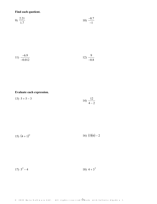Find each quotient.

9) 
$$
\frac{2.21}{1.7}
$$
 10)  $\frac{-8.7}{-1}$ 

$$
11) \frac{-6.9}{-0.012} \qquad \qquad 12) \frac{9}{-0.8}
$$

### Evaluate each expression.

$$
13) \ \ 5 + 5 - 3 \ \ \hspace{3.1em} 14) \ \frac{12}{4 - 2}
$$

15) 
$$
(4+1)^2
$$
 16)  $(5)(6)-2$ 

18)  $4+3^3$ 17)  $5^2 - 4$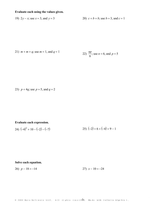#### Evaluate each using the values given.

#### 19)  $2y - x$ ; use  $x = 3$ , and  $y = 3$ 20)  $c + b + b$ ; use  $b = 3$ , and  $c = 1$

21) 
$$
m + m + q
$$
; use  $m = 1$ , and  $q = 1$ 

22) 
$$
\frac{np}{6}
$$
; use  $n = 6$ , and  $p = 5$ 

23) 
$$
p + 4q
$$
; use  $p = 5$ , and  $q = 2$ 

### Evaluate each expression.

24) 
$$
(-4)^2 + 10 - (-2) - (-7)
$$
  
25)  $(-2) + 6 + (-4) + 9 - 1$ 

#### Solve each equation.

27)  $x - 10 = -24$ 26)  $p-18=-14$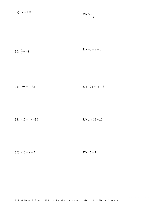28)  $5n = 100$ 

$$
29) \ \ 3=\frac{x}{5}
$$

$$
30)\ \frac{x}{6} = -8
$$

$$
32) -9x = -135 \qquad 33) -22 = -6 + b
$$

$$
34) -17 + v = -30 \qquad 35) x + 16 = 20
$$

36)  $-10 = x + 7$ 37)  $15 = 3x$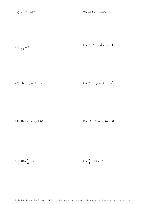$39) -13 + x = -23$ 38)  $-187 = -17x$ 

40) 
$$
\frac{n}{19} = 8
$$
 41)  $7(-7 - 3m) = 19 - 4m$ 

$$
42) \ 2(k+6) = 10 + 3k \tag{43} \ 28 + 6p = -4(p-7)
$$

44) 
$$
18 + 2k = 4(k+6)
$$
  
45)  $-k - 24 = -(-6k+3)$ 

46) 
$$
10 = \frac{n}{6} + 7
$$
 47)  $\frac{a}{4} - 10 = -5$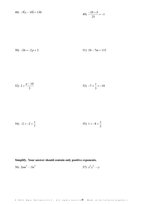$$
48) -5(x - 10) = 130
$$
  

$$
49) \frac{-10 + b}{25} = -1
$$

$$
50) -26 = -2p + 2 \qquad 51) \ 10 - 7m = 115
$$

52) 
$$
2 = \frac{a-10}{3}
$$
 53)  $-7 + \frac{v}{3} = -10$ 

54) 
$$
-2 = -2 + \frac{x}{7}
$$
 55)  $1 = -8 + \frac{x}{2}$ 

### Simplify. Your answer should contain only positive exponents.

56) 
$$
2nm^3 \cdot -5n^5
$$
 57)  $x^4y^5 \cdot -y$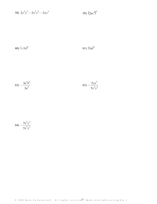58) 
$$
2x^2y^2 \cdot -3x^5y^2 \cdot -3xy^3
$$
 59)  $(2uv^4)^5$ 

$$
60) (-3v)^5 \t\t\t\t 61) (3a)^4
$$

$$
(62) \ -\frac{3a^5b^5}{2a^5} \qquad \qquad (63) \ -\frac{5yx^3}{5x^3y^5}
$$

$$
(64) -\frac{3x^5y^3}{5x^5y^2}
$$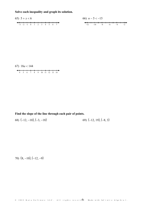Solve each inequality and graph its solution.





Find the slope of the line through each pair of points.

69)  $(-12, 19)$ ,  $(-8, 3)$ 68)  $(-12, -10), (-3, -18)$ 

70)  $(8, -10), (-12, -9)$ 

© 2022 Kuta Software LLC. All rights reserved: Made with Infinite Algebra 1.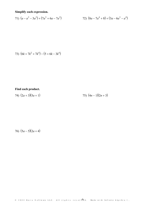Simplify each expression.

71) 
$$
(a - a^2 - 3a^3) + (7a^3 + 6a - 7a^2)
$$
   
72)  $(8a - 7a^4 + 8) + (3a - 6a^3 - a^4)$ 

73) 
$$
(6k + 7k^2 + 7k^4) - (5 + 6k - 3k^4)
$$

# Find each product.

75)  $(4n-1)(2n+3)$ 74)  $(2a+3)(5a+1)$ 

76)  $(5a-5)(2a+4)$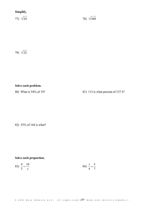# Simplify.

77)  $\sqrt{24}$ 

78)  $\sqrt{448}$ 

79)  $\sqrt{32}$ 

### Solve each problem.

80) What is 54% of 19?

81) 113 is what percent of 137.5?

82) 53% of 144 is what?

#### Solve each proportion.

83) 
$$
\frac{4}{3} = \frac{10}{x}
$$
 84)  $\frac{v}{4} = \frac{5}{7}$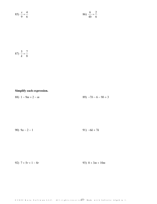85) 
$$
\frac{x}{9} = \frac{4}{6}
$$
 86)  $\frac{6}{4b} = \frac{2}{6}$ 

$$
87) \frac{5}{k} = \frac{7}{8}
$$

### Simplify each expression.

 $89) -7b - 6 - 9b + 3$ 88)  $1-9m+2-m$ 

$$
90) \t9a - 2 - 1 \t\t\t\t\t 91) \t-6k + 7k
$$

92)  $7 + 5r + 1 - 8r$ 

93)  $8 + 3m + 10m$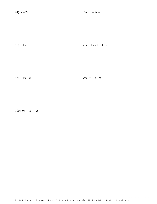94)  $x - 2x$ 95)  $10 - 9n - 8$ 

$$
96) r + r \tag{97} 1 + 2n + 1 + 7n
$$

99)  $7n + 3 - 9$ 98)  $-4m + m$ 

100)  $9n + 10 + 4n$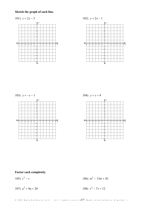# Sketch the graph of each line.





103)  $y = -x - 1$ 



104)  $y = x + 4$ 



Factor each completely.

105)  $v^2 - v$ 

106)  $m^2 - 13m + 42$ 

107)  $a^2 + 9a + 20$ 

108)  $x^2 - 7x + 12$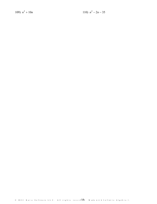109)  $n^2 + 10n$